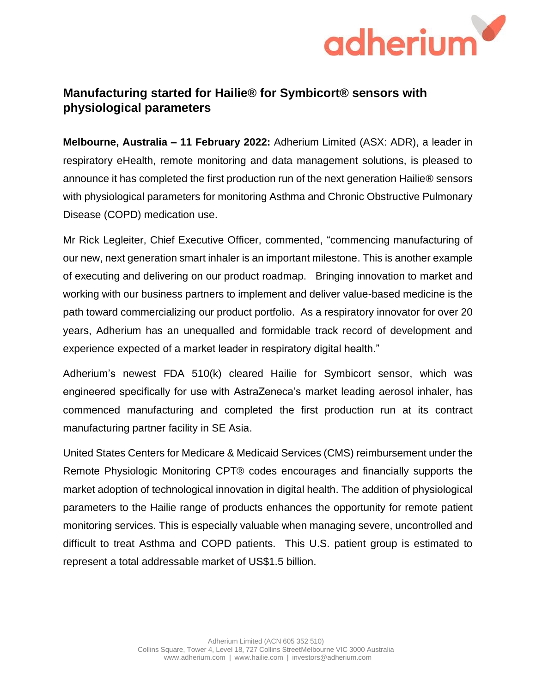

## **Manufacturing started for Hailie® for Symbicort® sensors with physiological parameters**

**Melbourne, Australia – 11 February 2022:** Adherium Limited (ASX: ADR), a leader in respiratory eHealth, remote monitoring and data management solutions, is pleased to announce it has completed the first production run of the next generation Hailie® sensors with physiological parameters for monitoring Asthma and Chronic Obstructive Pulmonary Disease (COPD) medication use.

Mr Rick Legleiter, Chief Executive Officer, commented, "commencing manufacturing of our new, next generation smart inhaler is an important milestone. This is another example of executing and delivering on our product roadmap. Bringing innovation to market and working with our business partners to implement and deliver value-based medicine is the path toward commercializing our product portfolio. As a respiratory innovator for over 20 years, Adherium has an unequalled and formidable track record of development and experience expected of a market leader in respiratory digital health."

Adherium's newest FDA 510(k) cleared Hailie for Symbicort sensor, which was engineered specifically for use with AstraZeneca's market leading aerosol inhaler, has commenced manufacturing and completed the first production run at its contract manufacturing partner facility in SE Asia.

United States Centers for Medicare & Medicaid Services (CMS) reimbursement under the Remote Physiologic Monitoring CPT® codes encourages and financially supports the market adoption of technological innovation in digital health. The addition of physiological parameters to the Hailie range of products enhances the opportunity for remote patient monitoring services. This is especially valuable when managing severe, uncontrolled and difficult to treat Asthma and COPD patients. This U.S. patient group is estimated to represent a total addressable market of US\$1.5 billion.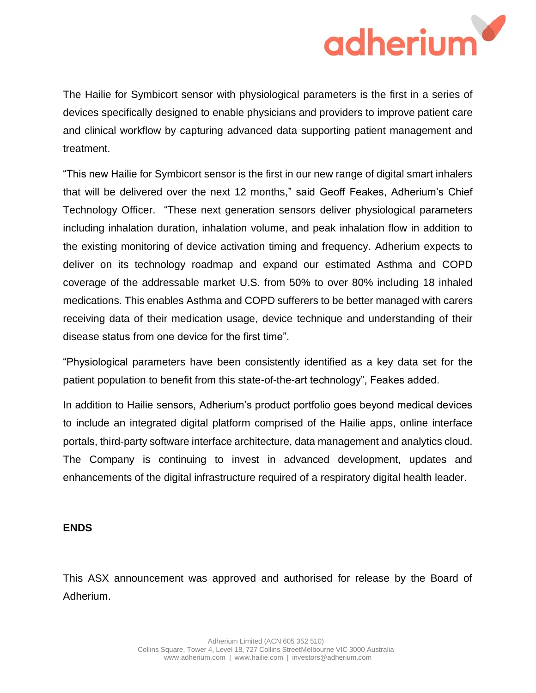

The Hailie for Symbicort sensor with physiological parameters is the first in a series of devices specifically designed to enable physicians and providers to improve patient care and clinical workflow by capturing advanced data supporting patient management and treatment.

"This new Hailie for Symbicort sensor is the first in our new range of digital smart inhalers that will be delivered over the next 12 months," said Geoff Feakes, Adherium's Chief Technology Officer. "These next generation sensors deliver physiological parameters including inhalation duration, inhalation volume, and peak inhalation flow in addition to the existing monitoring of device activation timing and frequency. Adherium expects to deliver on its technology roadmap and expand our estimated Asthma and COPD coverage of the addressable market U.S. from 50% to over 80% including 18 inhaled medications. This enables Asthma and COPD sufferers to be better managed with carers receiving data of their medication usage, device technique and understanding of their disease status from one device for the first time".

"Physiological parameters have been consistently identified as a key data set for the patient population to benefit from this state-of-the-art technology", Feakes added.

In addition to Hailie sensors, Adherium's product portfolio goes beyond medical devices to include an integrated digital platform comprised of the Hailie apps, online interface portals, third-party software interface architecture, data management and analytics cloud. The Company is continuing to invest in advanced development, updates and enhancements of the digital infrastructure required of a respiratory digital health leader.

## **ENDS**

This ASX announcement was approved and authorised for release by the Board of Adherium.